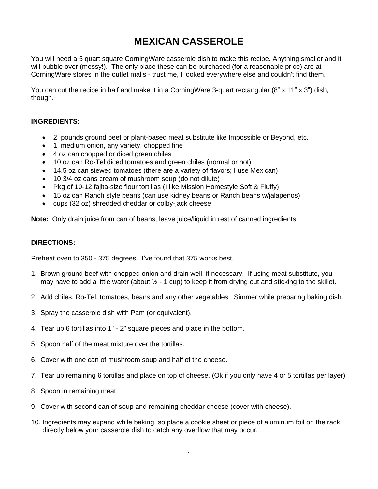# **MEXICAN CASSEROLE**

You will need a 5 quart square CorningWare casserole dish to make this recipe. Anything smaller and it will bubble over (messy!). The only place these can be purchased (for a reasonable price) are at CorningWare stores in the outlet malls - trust me, I looked everywhere else and couldn't find them.

You can cut the recipe in half and make it in a Corning Ware 3-quart rectangular (8" x 11" x 3") dish, though.

#### **INGREDIENTS:**

- 2 pounds ground beef or plant-based meat substitute like Impossible or Beyond, etc.
- 1 medium onion, any variety, chopped fine
- 4 oz can chopped or diced green chiles
- 10 oz can Ro-Tel diced tomatoes and green chiles (normal or hot)
- 14.5 oz can stewed tomatoes (there are a variety of flavors; I use Mexican)
- 10 3/4 oz cans cream of mushroom soup (do not dilute)
- Pkg of 10-12 fajita-size flour tortillas (I like Mission Homestyle Soft & Fluffy)
- 15 oz can Ranch style beans (can use kidney beans or Ranch beans w/jalapenos)
- cups (32 oz) shredded cheddar or colby-jack cheese

**Note:** Only drain juice from can of beans, leave juice/liquid in rest of canned ingredients.

#### **DIRECTIONS:**

Preheat oven to 350 - 375 degrees. I've found that 375 works best.

- 1. Brown ground beef with chopped onion and drain well, if necessary. If using meat substitute, you may have to add a little water (about  $\frac{1}{2}$  - 1 cup) to keep it from drying out and sticking to the skillet.
- 2. Add chiles, Ro-Tel, tomatoes, beans and any other vegetables. Simmer while preparing baking dish.
- 3. Spray the casserole dish with Pam (or equivalent).
- 4. Tear up 6 tortillas into 1" 2" square pieces and place in the bottom.
- 5. Spoon half of the meat mixture over the tortillas.
- 6. Cover with one can of mushroom soup and half of the cheese.
- 7. Tear up remaining 6 tortillas and place on top of cheese. (Ok if you only have 4 or 5 tortillas per layer)
- 8. Spoon in remaining meat.
- 9. Cover with second can of soup and remaining cheddar cheese (cover with cheese).
- 10. Ingredients may expand while baking, so place a cookie sheet or piece of aluminum foil on the rack directly below your casserole dish to catch any overflow that may occur.